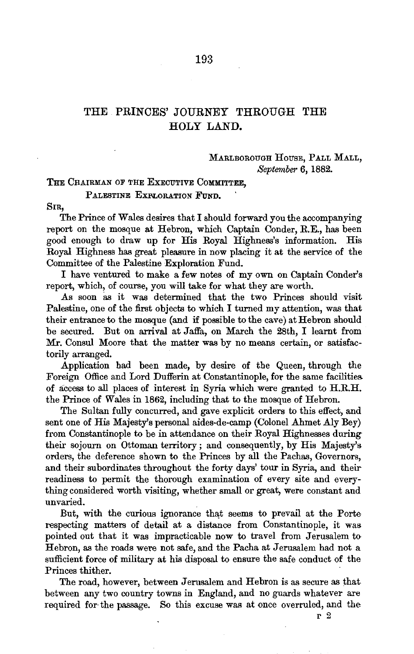## THE PRINCES' JOURNEY THROUGH THE HOLY LAND.

## MARLBOROUGH HOUSE, PALL MALL, *September* 6, 1882.

THE CHAIRMAN OF THE EXECUTIVE COMMITTEE,

PALESTINE EXPLORATION FUND.

SIR,

The Prince of Wales desires that I should forward you the accompanying report on the mosque at Hebron, which Captain Conder, R.E., has been good enough to draw up for His Royal Highness's information. His Royal Highness has great pleasure in now placing it at the service of the Committee of the Palestine Exploration Fund.

I have ventured to make a few notes of my own on Captain Conder's report, which, of course, you will take for what they are worth.

As soon as it was determined that the two Princes should visit Palestine, one of the first objects to which I turned my attention, was that their entrance to the mosque (and if possible to the cave) at Hebron should be secured. But on arrival at Jaffa, on March the 28th, I learnt from Mr. Consul Moore that the matter was by no means certain, or satisfactorily arranged.

Application had been made, by desire of the Queen, through the Foreign Office and Lord Dufferin at Constantinople, for the same facilities of access to all places of interest in Syria which were granted to H.R.H. the Prince of Wales in 1862, including that to the mosque of Hebron.

The Sultan fully concurred, and gave explicit orders to this effect, and sent one of His Majesty's personal aides-de-camp (Colonel Ahmet Aly Bey) from Constantinople to be in attendance on their Royal Highnesses during their sojourn on Ottoman territory; and consequently, by His Majesty's orders, the deference shown to the Princes by all the Pachas, Governors, and their subordinates throughout the forty days' tour in Syria, and their readiness to permit the thorough examination of every site and everything considered worth visiting, whether small or great, were constant and nnvaried.

But, with the curious ignorance that seems to prevail at the Porte respecting matters of detail at a distance from Constantinople, it was pointed out that it was impracticable now to travel from Jerusalem to· Hebron, as the roads were not safe, and the Pacha at Jerusalem had not a sufficient force of military at his disposal to ensure the safe conduct of the Princes thither.

The road, however, between Jerusalem and Hebron is as secure as that between any two country towns in England, and no guards whatever are required for the passage. So this excuse was at once overruled, and the

r 2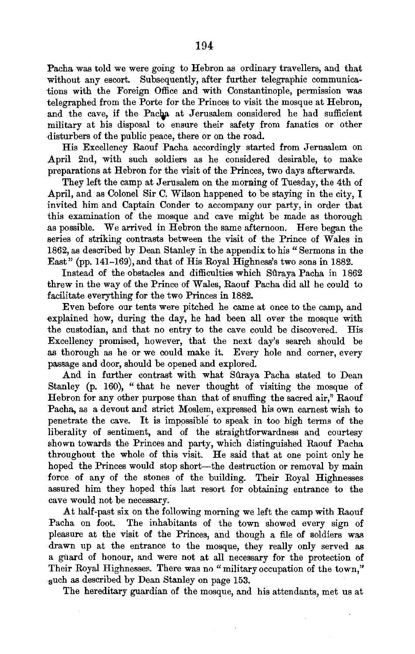Pacha was told we were going to Hebron as ordinary travellers, and that without any escort. Subsequently, after further telegraphic communications with the Foreign Office and with Constantinople, permission was telegraphed from the Porte for the Princes to visit the mosque at Hebron, and the cave, if the Pacha at Jerusalem considered he had sufficient military at his disposal to ensure their safety from fanatics or other disturbers of the public peace, there or on the road.

His Excellency Raouf Pacha accordingly started from Jerusalem on April 2nd, with such soldiers as he considered desirable, to make preparations at Hebron for the visit of the Princes, two days afterwards.

They left the camp at Jerusalem on the morning of Tuesday, the 4th of April, and as Colonel Sir C. Wilson happened to be staying in the city, I invited him and Captain Conder to accompany our party, in order that this examination of the mosque and cave might be made as thorough as possible. We arrived in Hebron the same afternoon. Here began the series of striking contrasts between the visit of the Prince of Wales in 1862, as described by Dean Stanley in the appendix to his " Sermons in the East" (pp. 141-169), and that of His Royal Highness's two sons in 1882.

Instead of the obstacles and difficulties which Suraya Pacha in 1862 threw in the way of the Prince of Wales, Raouf Pacha did all he could to facilitate everything for the two Princes in 1882.

Even before our tents were pitched he came at once to the camp, and explained how, during the day, he had been all over the mosque with the custodian, and that no entry to the cave could be discovered. His Excellency promised, however, that the next day's search should be as thorough as he or we could make it. Every hole and corner, every passage and door, should be opened and explored.

And in further contrast with what Sûraya Pacha stated to Dean Stanley (p. 160), " that he never thought of visiting the mosque of Hebron for any other purpose than that of snuffing the sacred air," Raouf Pacha, as a devout and strict Moslem, expressed his own earnest wish to penetrate the cave. It is imppssible to speak in too high terms of the liberality of sentiment, and of the straightforwardness and courtesy shown towards the Princes and party, which distinguished Raouf Pacha throughout the whole of this visit. He said that at one point only he hoped the Princes would stop short-the destruction or removal by main force of any of the stones of the building. Their Royal Highnesses assured him they hoped this last resort for obtaining entrance to the cave would not be necessary.

At half-past six on the following morning we left the camp with Raouf Pacha on foot. The inhabitants of the town showed every sign of pleasure at the visit of the Princes, and though a file of soldiers was drawn up at the entrance to the mosque, they really only served as a guard of honour, and were not at all necessary for the protection of Their Royal Highnesses. There was no "military occupation of the town." such as described by Dean Stanley on page 153.

The hereditary guardian of the mosque, and his attendants, met us at